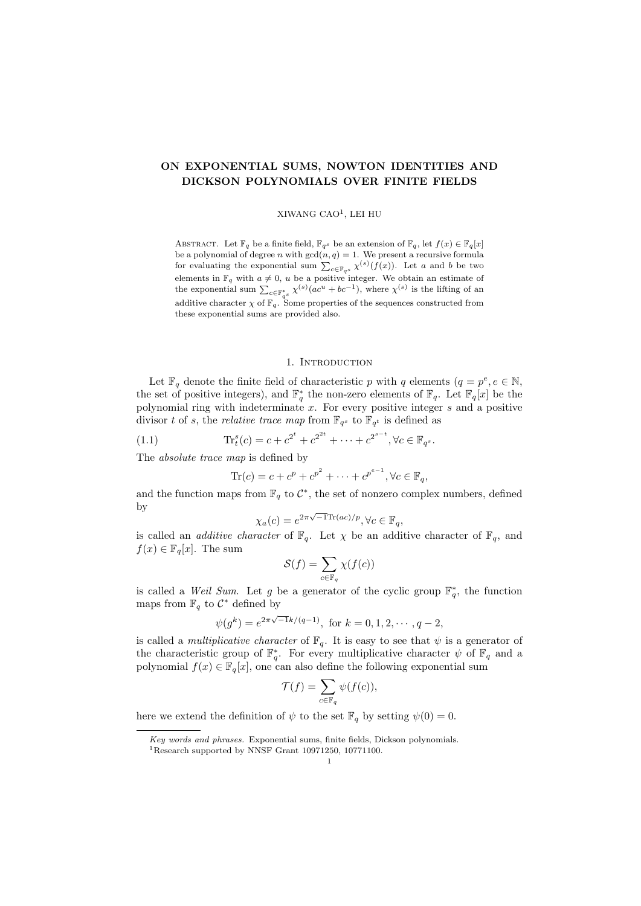# **ON EXPONENTIAL SUMS, NOWTON IDENTITIES AND DICKSON POLYNOMIALS OVER FINITE FIELDS**

#### XIWANG CAO<sup>1</sup> , LEI HU

ABSTRACT. Let  $\mathbb{F}_q$  be a finite field,  $\mathbb{F}_{q^s}$  be an extension of  $\mathbb{F}_q$ , let  $f(x) \in \mathbb{F}_q[x]$ be a polynomial of degree *n* with  $gcd(n, q) = 1$ . We present a recursive formula for evaluating the exponential sum  $\sum_{c \in \mathbb{F}_{q^s}} \chi^{(s)}(f(x))$ . Let *a* and *b* be two elements in  $\mathbb{F}_q$  with  $a \neq 0$ ,  $u$  be a positive integer. We obtain an estimate of the exponential sum  $\sum_{c \in \mathbb{F}_{q^s}^*} \chi^{(s)}(ac^u + bc^{-1})$ , where  $\chi^{(s)}$  is the lifting of an additive character  $\chi$  of  $\mathbb{F}_q$ . Some properties of the sequences constructed from these exponential sums are provided also.

# 1. INTRODUCTION

Let  $\mathbb{F}_q$  denote the finite field of characteristic *p* with *q* elements  $(q = p^e, e \in \mathbb{N},$ the set of positive integers), and  $\mathbb{F}_q^*$  the non-zero elements of  $\mathbb{F}_q$ . Let  $\mathbb{F}_q[x]$  be the polynomial ring with indeterminate *x*. For every positive integer *s* and a positive divisor *t* of *s*, the *relative trace map* from  $\mathbb{F}_{q^s}$  to  $\mathbb{F}_{q^t}$  is defined as

(1.1) 
$$
\text{Tr}_t^s(c) = c + c^{2^t} + c^{2^{2t}} + \dots + c^{2^{s-t}}, \forall c \in \mathbb{F}_{q^s}.
$$

The *absolute trace map* is defined by

$$
\text{Tr}(c) = c + c^p + c^{p^2} + \dots + c^{p^{e-1}}, \forall c \in \mathbb{F}_q,
$$

and the function maps from  $\mathbb{F}_q$  to  $\mathcal{C}^*$ , the set of nonzero complex numbers, defined by

$$
\chi_a(c) = e^{2\pi\sqrt{-1}\text{Tr}(ac)/p}, \forall c \in \mathbb{F}_q,
$$

is called an *additive character* of  $\mathbb{F}_q$ . Let  $\chi$  be an additive character of  $\mathbb{F}_q$ , and  $f(x) \in \mathbb{F}_q[x]$ . The sum

$$
\mathcal{S}(f) = \sum_{c \in \mathbb{F}_q} \chi(f(c))
$$

is called a *Weil Sum*. Let *g* be a generator of the cyclic group  $\mathbb{F}_q^*$ , the function maps from  $\mathbb{F}_q$  to  $\mathcal{C}^*$  defined by

$$
\psi(g^k) = e^{2\pi\sqrt{-1}k/(q-1)}
$$
, for  $k = 0, 1, 2, \cdots, q-2$ ,

is called a *multiplicative character* of  $\mathbb{F}_q$ . It is easy to see that  $\psi$  is a generator of the characteristic group of  $\mathbb{F}_q^*$ . For every multiplicative character  $\psi$  of  $\mathbb{F}_q$  and a polynomial  $f(x) \in \mathbb{F}_q[x]$ , one can also define the following exponential sum

$$
\mathcal{T}(f) = \sum_{c \in \mathbb{F}_q} \psi(f(c)),
$$

here we extend the definition of  $\psi$  to the set  $\mathbb{F}_q$  by setting  $\psi(0) = 0$ .

*Key words and phrases.* Exponential sums, finite fields, Dickson polynomials.

<sup>1</sup>Research supported by NNSF Grant 10971250, 10771100.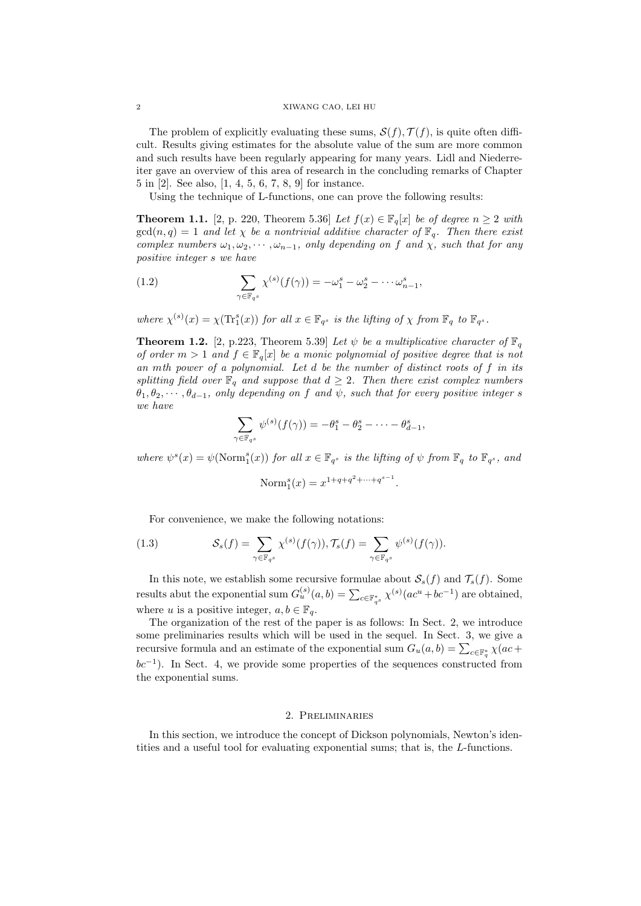The problem of explicitly evaluating these sums,  $S(f)$ ,  $T(f)$ , is quite often difficult. Results giving estimates for the absolute value of the sum are more common and such results have been regularly appearing for many years. Lidl and Niederreiter gave an overview of this area of research in the concluding remarks of Chapter 5 in [2]. See also, [1, 4, 5, 6, 7, 8, 9] for instance.

Using the technique of L-functions, one can prove the following results:

**Theorem 1.1.** [2, p. 220, Theorem 5.36] *Let*  $f(x) \in \mathbb{F}_q[x]$  *be of degree*  $n \geq 2$  *with*  $gcd(n,q) = 1$  *and let*  $\chi$  *be a nontrivial additive character of*  $\mathbb{F}_q$ *. Then there exist complex numbers*  $\omega_1, \omega_2, \cdots, \omega_{n-1}$ *, only depending on f* and  $\chi$ *, such that for any positive integer s we have*

(1.2) 
$$
\sum_{\gamma \in \mathbb{F}_{q^s}} \chi^{(s)}(f(\gamma)) = -\omega_1^s - \omega_2^s - \cdots - \omega_{n-1}^s,
$$

where  $\chi^{(s)}(x) = \chi(\text{Tr}_1^s(x))$  for all  $x \in \mathbb{F}_{q^s}$  is the lifting of  $\chi$  from  $\mathbb{F}_q$  to  $\mathbb{F}_{q^s}$ .

**Theorem 1.2.** [2, p.223, Theorem 5.39] *Let*  $\psi$  *be a multiplicative character of*  $\mathbb{F}_q$ *of order*  $m > 1$  *and*  $f \in \mathbb{F}_q[x]$  *be a monic polynomial of positive degree that is not an mth power of a polynomial. Let d be the number of distinct roots of f in its splitting field over*  $\mathbb{F}_q$  *and suppose that*  $d \geq 2$ *. Then there exist complex numbers*  $\theta_1, \theta_2, \dots, \theta_{d-1}$ , only depending on f and  $\psi$ , such that for every positive integer *s we have*

$$
\sum_{\gamma \in \mathbb{F}_{q^s}} \psi^{(s)}(f(\gamma)) = -\theta_1^s - \theta_2^s - \dots - \theta_{d-1}^s,
$$

where  $\psi^s(x) = \psi(\text{Norm}_1^s(x))$  for all  $x \in \mathbb{F}_{q^s}$  is the lifting of  $\psi$  from  $\mathbb{F}_q$  to  $\mathbb{F}_{q^s}$ , and

$$
Norm_1^s(x) = x^{1+q+q^2 + \dots + q^{s-1}}.
$$

For convenience, we make the following notations:

(1.3) 
$$
\mathcal{S}_s(f) = \sum_{\gamma \in \mathbb{F}_{q^s}} \chi^{(s)}(f(\gamma)), \mathcal{T}_s(f) = \sum_{\gamma \in \mathbb{F}_{q^s}} \psi^{(s)}(f(\gamma)).
$$

In this note, we establish some recursive formulae about  $S_s(f)$  and  $\mathcal{T}_s(f)$ . Some results abut the exponential sum  $G_u^{(s)}(a, b) = \sum_{c \in \mathbb{F}_{q^s}^*} \chi^{(s)}(ac^u + bc^{-1})$  are obtained, where *u* is a positive integer,  $a, b \in \mathbb{F}_q$ .

The organization of the rest of the paper is as follows: In Sect. 2, we introduce some preliminaries results which will be used in the sequel. In Sect. 3, we give a recursive formula and an estimate of the exponential sum  $G_u(a, b) = \sum_{c \in \mathbb{F}_q^*} \chi(ac + b)$ *bc*<sup>−1</sup>). In Sect. 4, we provide some properties of the sequences constructed from the exponential sums.

# 2. Preliminaries

In this section, we introduce the concept of Dickson polynomials, Newton's identities and a useful tool for evaluating exponential sums; that is, the *L*-functions.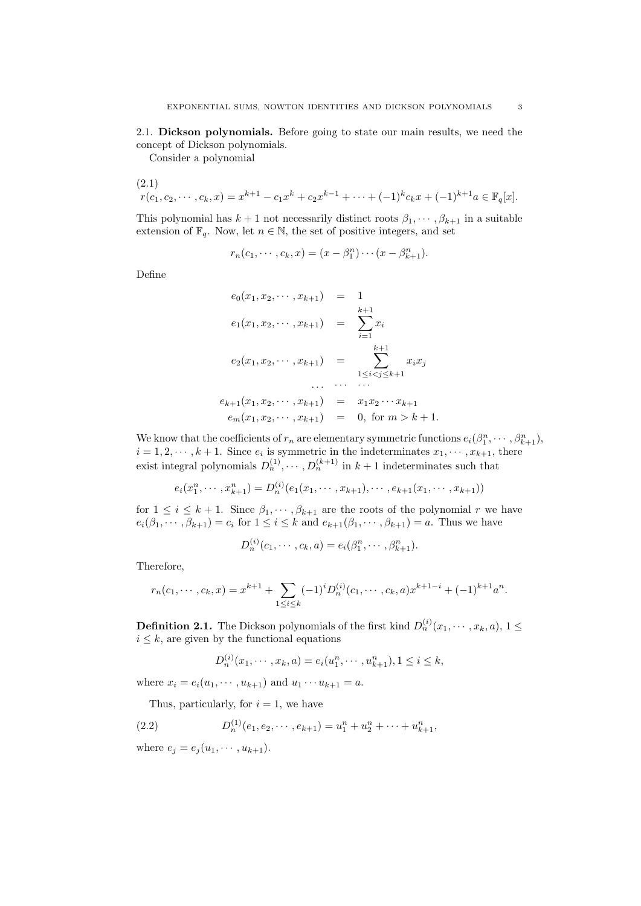2.1. **Dickson polynomials.** Before going to state our main results, we need the concept of Dickson polynomials.

Consider a polynomial

(2.1)  

$$
r(c_1, c_2, \cdots, c_k, x) = x^{k+1} - c_1 x^k + c_2 x^{k-1} + \cdots + (-1)^k c_k x + (-1)^{k+1} a \in \mathbb{F}_q[x].
$$

This polynomial has  $k + 1$  not necessarily distinct roots  $\beta_1, \dots, \beta_{k+1}$  in a suitable extension of  $\mathbb{F}_q$ . Now, let  $n \in \mathbb{N}$ , the set of positive integers, and set

$$
r_n(c_1, \dots, c_k, x) = (x - \beta_1^n) \dots (x - \beta_{k+1}^n).
$$

Define

$$
e_0(x_1, x_2, \cdots, x_{k+1}) = 1
$$
  
\n
$$
e_1(x_1, x_2, \cdots, x_{k+1}) = \sum_{i=1}^{k+1} x_i
$$
  
\n
$$
e_2(x_1, x_2, \cdots, x_{k+1}) = \sum_{1 \le i < j \le k+1}^{k+1} x_i x_j
$$
  
\n
$$
\cdots \cdots \cdots
$$
  
\n
$$
e_{k+1}(x_1, x_2, \cdots, x_{k+1}) = x_1 x_2 \cdots x_{k+1}
$$
  
\n
$$
e_m(x_1, x_2, \cdots, x_{k+1}) = 0, \text{ for } m > k+1.
$$

We know that the coefficients of  $r_n$  are elementary symmetric functions  $e_i(\beta_1^n, \dots, \beta_{k+1}^n)$ ,  $i = 1, 2, \dots, k + 1$ . Since  $e_i$  is symmetric in the indeterminates  $x_1, \dots, x_{k+1}$ , there exist integral polynomials  $D_n^{(1)}, \dots, D_n^{(k+1)}$  in  $k+1$  indeterminates such that

$$
e_i(x_1^n, \cdots, x_{k+1}^n) = D_n^{(i)}(e_1(x_1, \cdots, x_{k+1}), \cdots, e_{k+1}(x_1, \cdots, x_{k+1}))
$$

for  $1 \leq i \leq k+1$ . Since  $\beta_1, \dots, \beta_{k+1}$  are the roots of the polynomial *r* we have  $e_i(\beta_1,\dots,\beta_{k+1})=c_i$  for  $1\leq i\leq k$  and  $e_{k+1}(\beta_1,\dots,\beta_{k+1})=a$ . Thus we have

$$
D_n^{(i)}(c_1, \cdots, c_k, a) = e_i(\beta_1^n, \cdots, \beta_{k+1}^n).
$$

Therefore,

$$
r_n(c_1, \dots, c_k, x) = x^{k+1} + \sum_{1 \le i \le k} (-1)^i D_n^{(i)}(c_1, \dots, c_k, a) x^{k+1-i} + (-1)^{k+1} a^n.
$$

**Definition 2.1.** The Dickson polynomials of the first kind  $D_n^{(i)}(x_1,\cdots,x_k,a)$ , 1  $\leq$  $i \leq k$ , are given by the functional equations

$$
D_n^{(i)}(x_1, \dots, x_k, a) = e_i(u_1^n, \dots, u_{k+1}^n), 1 \le i \le k,
$$

where  $x_i = e_i(u_1, \dots, u_{k+1})$  and  $u_1 \dots u_{k+1} = a$ .

Thus, particularly, for  $i = 1$ , we have

(2.2) 
$$
D_n^{(1)}(e_1, e_2, \cdots, e_{k+1}) = u_1^n + u_2^n + \cdots + u_{k+1}^n,
$$

where  $e_j = e_j(u_1, \dots, u_{k+1}).$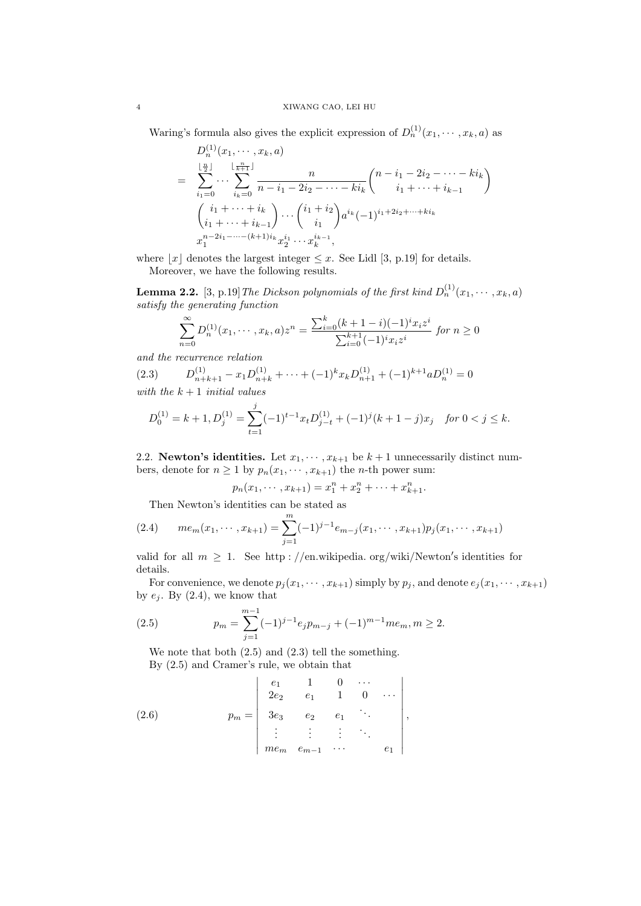Waring's formula also gives the explicit expression of  $D_n^{(1)}(x_1, \dots, x_k, a)$  as

$$
D_{n}^{(1)}(x_{1},\dots,x_{k},a)
$$
\n
$$
= \sum_{i_{1}=0}^{\lfloor \frac{n}{2} \rfloor} \cdots \sum_{i_{k}=0}^{\lfloor \frac{n}{k+1} \rfloor} \frac{n}{n-i_{1}-2i_{2}-\cdots-ki_{k}} {n-i_{1}+2i_{2}+\cdots+i_{k-1} \choose i_{1}+\cdots+i_{k-1}} \left(\begin{array}{c} i_{1}+\cdots+i_{k} \\ i_{1}+\cdots+i_{k-1} \end{array}\right) \cdots {i_{1}+i_{2} \choose i_{1}} a^{i_{k}} (-1)^{i_{1}+2i_{2}+\cdots+i_{k}} \cdots x_{1}^{n-2i_{1}-\cdots-(k+1)i_{k}} x_{2}^{i_{1}} \cdots x_{k}^{i_{k-1}},
$$

where  $|x|$  denotes the largest integer  $\leq x$ . See Lidl [3, p.19] for details.

Moreover, we have the following results.

**Lemma 2.2.** [3, p.19] The Dickson polynomials of the first kind  $D_n^{(1)}(x_1, \dots, x_k, a)$ *satisfy the generating function*

$$
\sum_{n=0}^{\infty} D_n^{(1)}(x_1, \dots, x_k, a) z^n = \frac{\sum_{i=0}^k (k+1-i)(-1)^i x_i z^i}{\sum_{i=0}^{k+1} (-1)^i x_i z^i} \text{ for } n \ge 0
$$

*and the recurrence relation*

 $(2.3)$  $\sum_{n+k+1}^{(1)} - x_1 D_{n+k}^{(1)} + \cdots + (-1)^k x_k D_{n+1}^{(1)} + (-1)^{k+1} a D_n^{(1)} = 0$ *with the k* + 1 *initial values*

$$
D_0^{(1)} = k + 1, D_j^{(1)} = \sum_{t=1}^j (-1)^{t-1} x_t D_{j-t}^{(1)} + (-1)^j (k+1-j) x_j \quad \text{for } 0 < j \le k.
$$

2.2. **Newton's identities.** Let  $x_1, \dots, x_{k+1}$  be  $k+1$  unnecessarily distinct numbers, denote for  $n \ge 1$  by  $p_n(x_1, \dots, x_{k+1})$  the *n*-th power sum:

$$
p_n(x_1, \cdots, x_{k+1}) = x_1^n + x_2^n + \cdots + x_{k+1}^n.
$$

Then Newton's identities can be stated as

(2.4) 
$$
me_m(x_1,\dots,x_{k+1})=\sum_{j=1}^m (-1)^{j-1}e_{m-j}(x_1,\dots,x_{k+1})p_j(x_1,\dots,x_{k+1})
$$

valid for all  $m \geq 1$ . See http://en.wikipedia.org/wiki/Newton's identities for details.

For convenience, we denote  $p_j(x_1, \dots, x_{k+1})$  simply by  $p_j$ , and denote  $e_j(x_1, \dots, x_{k+1})$ by  $e_i$ . By  $(2.4)$ , we know that

(2.5) 
$$
p_m = \sum_{j=1}^{m-1} (-1)^{j-1} e_j p_{m-j} + (-1)^{m-1} m e_m, m \ge 2.
$$

We note that both (2.5) and (2.3) tell the something. By (2.5) and Cramer's rule, we obtain that

(2.6) 
$$
p_m = \begin{vmatrix} e_1 & 1 & 0 & \cdots \\ 2e_2 & e_1 & 1 & 0 & \cdots \\ 3e_3 & e_2 & e_1 & \ddots \\ \vdots & \vdots & \vdots & \ddots & \vdots \\ me_m & e_{m-1} & \cdots & e_1 \end{vmatrix},
$$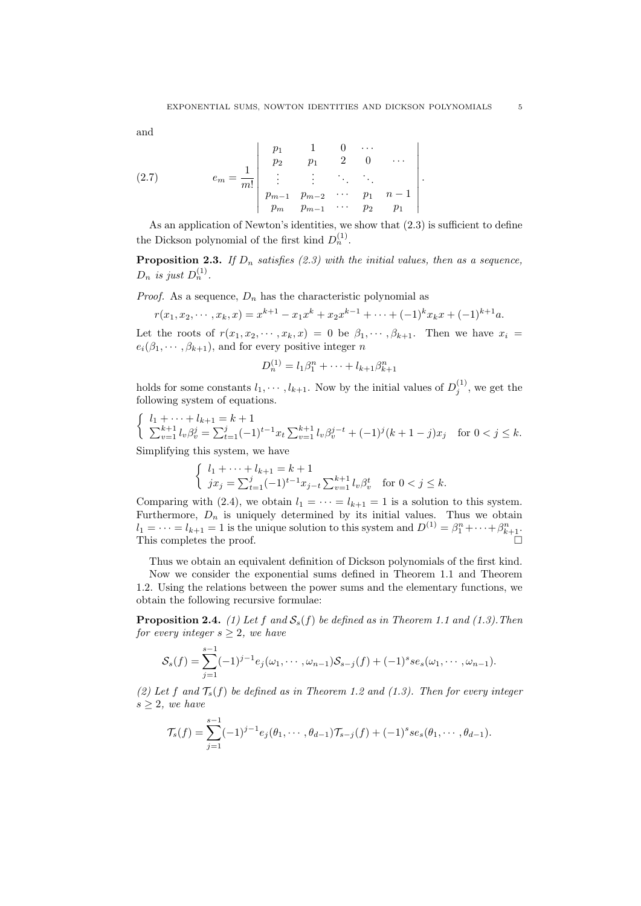and

(2.7) 
$$
e_m = \frac{1}{m!} \begin{vmatrix} p_1 & 1 & 0 & \cdots \\ p_2 & p_1 & 2 & 0 & \cdots \\ \vdots & \vdots & \ddots & \ddots & \vdots \\ p_{m-1} & p_{m-2} & \cdots & p_1 & n-1 \\ p_m & p_{m-1} & \cdots & p_2 & p_1 \end{vmatrix}.
$$

As an application of Newton's identities, we show that (2.3) is sufficient to define the Dickson polynomial of the first kind  $D_n^{(1)}$ .

**Proposition 2.3.** *If*  $D_n$  *satisfies* (2.3) with the initial values, then as a sequence, *D<sub>n</sub> is just*  $D_n^{(1)}$ *.* 

*Proof.* As a sequence,  $D_n$  has the characteristic polynomial as

$$
r(x_1, x_2, \cdots, x_k, x) = x^{k+1} - x_1 x^k + x_2 x^{k-1} + \cdots + (-1)^k x_k x + (-1)^{k+1} a.
$$

Let the roots of  $r(x_1, x_2, \dots, x_k, x) = 0$  be  $\beta_1, \dots, \beta_{k+1}$ . Then we have  $x_i =$  $e_i(\beta_1, \dots, \beta_{k+1})$ , and for every positive integer *n* 

$$
D_n^{(1)} = l_1 \beta_1^n + \dots + l_{k+1} \beta_{k+1}^n
$$

holds for some constants  $l_1, \dots, l_{k+1}$ . Now by the initial values of  $D_j^{(1)}$ , we get the following system of equations.

$$
\begin{cases} l_1+\cdots+l_{k+1}=k+1\\ \sum_{v=1}^{k+1}l_v\beta_v^j=\sum_{t=1}^j(-1)^{t-1}x_t\sum_{v=1}^{k+1}l_v\beta_v^{j-t}+(-1)^j(k+1-j)x_j\quad \text{for $0< j\leq k$.} \end{cases}
$$
 Simplifying this system, we have

$$
\begin{cases} l_1 + \dots + l_{k+1} = k+1 \\ jx_j = \sum_{t=1}^j (-1)^{t-1} x_{j-t} \sum_{v=1}^{k+1} l_v \beta_v^t \quad \text{for } 0 < j \le k. \end{cases}
$$

Comparing with (2.4), we obtain  $l_1 = \cdots = l_{k+1} = 1$  is a solution to this system. Furthermore,  $D_n$  is uniquely determined by its initial values. Thus we obtain  $l_1 = \cdots = l_{k+1} = 1$  is the unique solution to this system and  $D^{(1)} = \beta_1^n + \cdots + \beta_{k+1}^n$ . This completes the proof.

Thus we obtain an equivalent definition of Dickson polynomials of the first kind.

Now we consider the exponential sums defined in Theorem 1.1 and Theorem 1.2. Using the relations between the power sums and the elementary functions, we obtain the following recursive formulae:

**Proposition 2.4.** *(1) Let*  $f$  *and*  $S_s(f)$  *be defined as in Theorem 1.1 and (1.3). Then for every integer*  $s \geq 2$ *, we have* 

$$
S_s(f) = \sum_{j=1}^{s-1} (-1)^{j-1} e_j(\omega_1, \cdots, \omega_{n-1}) S_{s-j}(f) + (-1)^s s e_s(\omega_1, \cdots, \omega_{n-1}).
$$

(2) Let f and  $\mathcal{T}_s(f)$  be defined as in Theorem 1.2 and (1.3). Then for every integer *s ≥* 2*, we have*

$$
\mathcal{T}_s(f) = \sum_{j=1}^{s-1} (-1)^{j-1} e_j(\theta_1, \cdots, \theta_{d-1}) \mathcal{T}_{s-j}(f) + (-1)^s s e_s(\theta_1, \cdots, \theta_{d-1}).
$$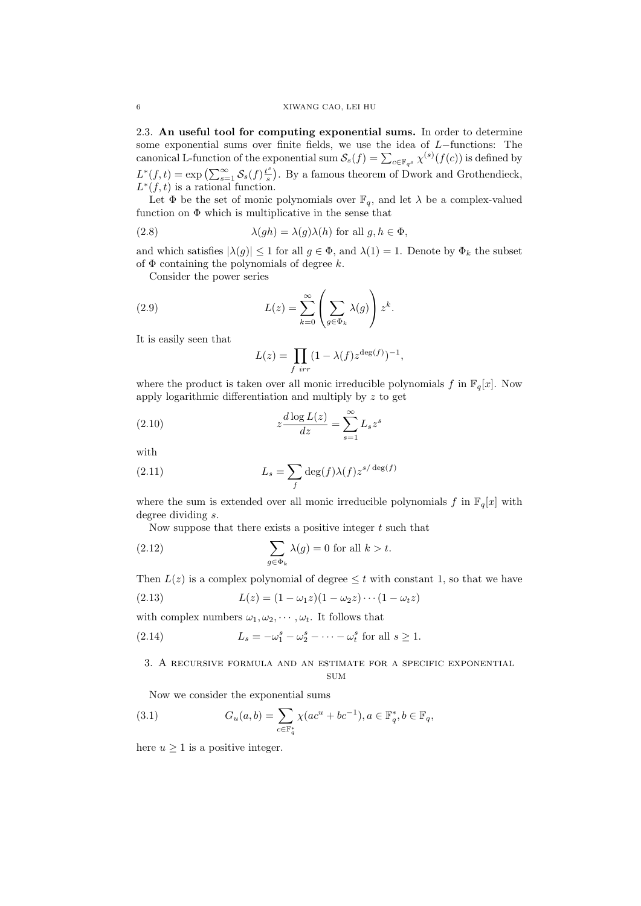2.3. **An useful tool for computing exponential sums.** In order to determine some exponential sums over finite fields, we use the idea of *L−*functions: The canonical L-function of the exponential sum  $\mathcal{S}_s(f) = \sum_{c \in \mathbb{F}_{q^s}} \chi^{(s)}(f(c))$  is defined by  $L^*(f,t) = \exp \left( \sum_{s=1}^{\infty} S_s(f) \frac{t^s}{s} \right)$  $\binom{s}{s}$ . By a famous theorem of Dwork and Grothendieck,  $L^*(f,t)$  is a rational function.

Let  $\Phi$  be the set of monic polynomials over  $\mathbb{F}_q$ , and let  $\lambda$  be a complex-valued function on  $\Phi$  which is multiplicative in the sense that

(2.8) 
$$
\lambda(gh) = \lambda(g)\lambda(h) \text{ for all } g, h \in \Phi,
$$

and which satisfies  $|\lambda(g)| \leq 1$  for all  $g \in \Phi$ , and  $\lambda(1) = 1$ . Denote by  $\Phi_k$  the subset of Φ containing the polynomials of degree *k*.

Consider the power series

(2.9) 
$$
L(z) = \sum_{k=0}^{\infty} \left( \sum_{g \in \Phi_k} \lambda(g) \right) z^k.
$$

It is easily seen that

$$
L(z) = \prod_{f \text{ irr}} (1 - \lambda(f) z^{\deg(f)})^{-1},
$$

where the product is taken over all monic irreducible polynomials  $f$  in  $\mathbb{F}_q[x]$ . Now apply logarithmic differentiation and multiply by *z* to get

(2.10) 
$$
z \frac{d \log L(z)}{dz} = \sum_{s=1}^{\infty} L_s z^s
$$

with

(2.11) 
$$
L_s = \sum_f \deg(f) \lambda(f) z^{s/\deg(f)}
$$

where the sum is extended over all monic irreducible polynomials  $f$  in  $\mathbb{F}_q[x]$  with degree dividing *s*.

Now suppose that there exists a positive integer *t* such that

(2.12) 
$$
\sum_{g \in \Phi_k} \lambda(g) = 0 \text{ for all } k > t.
$$

Then  $L(z)$  is a complex polynomial of degree  $\leq t$  with constant 1, so that we have

(2.13) 
$$
L(z) = (1 - \omega_1 z)(1 - \omega_2 z) \cdots (1 - \omega_t z)
$$

with complex numbers  $\omega_1, \omega_2, \cdots, \omega_t$ . It follows that

(2.14) 
$$
L_s = -\omega_1^s - \omega_2^s - \cdots - \omega_t^s \text{ for all } s \ge 1.
$$

## 3. A recursive formula and an estimate for a specific exponential **SUM**

Now we consider the exponential sums

(3.1) 
$$
G_u(a,b) = \sum_{c \in \mathbb{F}_q^*} \chi(ac^u + bc^{-1}), a \in \mathbb{F}_q^*, b \in \mathbb{F}_q,
$$

here  $u \geq 1$  is a positive integer.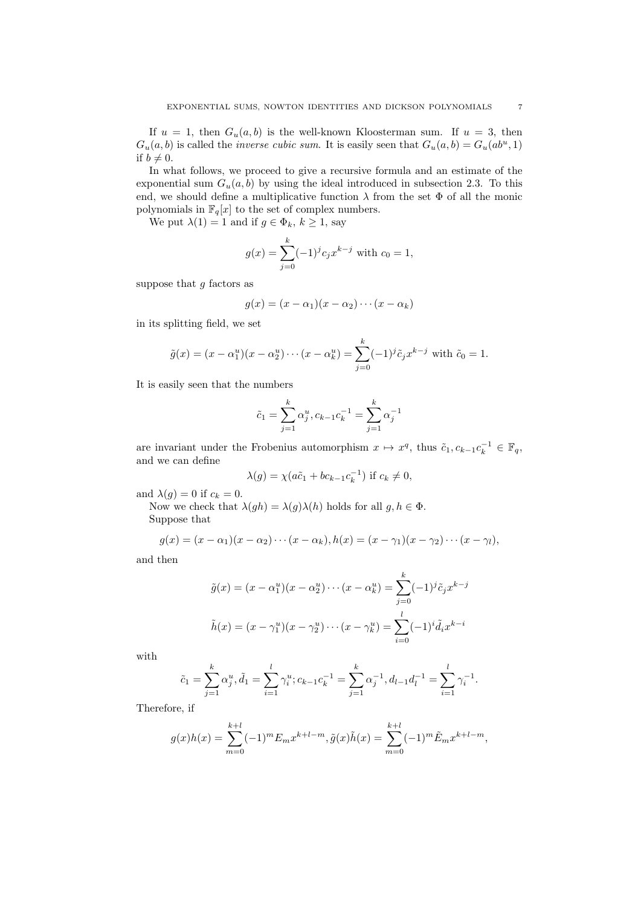If  $u = 1$ , then  $G_u(a, b)$  is the well-known Kloosterman sum. If  $u = 3$ , then  $G_u(a, b)$  is called the *inverse cubic sum*. It is easily seen that  $G_u(a, b) = G_u(ab^u, 1)$ if  $b \neq 0$ .

In what follows, we proceed to give a recursive formula and an estimate of the exponential sum  $G_u(a, b)$  by using the ideal introduced in subsection 2.3. To this end, we should define a multiplicative function  $\lambda$  from the set  $\Phi$  of all the monic polynomials in  $\mathbb{F}_q[x]$  to the set of complex numbers.

We put  $\lambda(1) = 1$  and if  $g \in \Phi_k$ ,  $k \geq 1$ , say

$$
g(x) = \sum_{j=0}^{k} (-1)^{j} c_j x^{k-j}
$$
 with  $c_0 = 1$ ,

suppose that *g* factors as

$$
g(x) = (x - \alpha_1)(x - \alpha_2) \cdots (x - \alpha_k)
$$

in its splitting field, we set

$$
\tilde{g}(x) = (x - \alpha_1^u)(x - \alpha_2^u) \cdots (x - \alpha_k^u) = \sum_{j=0}^k (-1)^j \tilde{c}_j x^{k-j}
$$
 with  $\tilde{c}_0 = 1$ .

It is easily seen that the numbers

$$
\tilde{c}_1 = \sum_{j=1}^{k} \alpha_j^u, c_{k-1} c_k^{-1} = \sum_{j=1}^{k} \alpha_j^{-1}
$$

are invariant under the Frobenius automorphism  $x \mapsto x^q$ , thus  $\tilde{c}_1, c_{k-1}c_k^{-1} \in \mathbb{F}_q$ , and we can define

$$
\lambda(g) = \chi(a\tilde{c}_1 + bc_{k-1}c_k^{-1}) \text{ if } c_k \neq 0,
$$

and  $\lambda(g) = 0$  if  $c_k = 0$ .

Now we check that  $\lambda(gh) = \lambda(g)\lambda(h)$  holds for all  $g, h \in \Phi$ . Suppose that

$$
g(x)=(x-\alpha_1)(x-\alpha_2)\cdots(x-\alpha_k), h(x)=(x-\gamma_1)(x-\gamma_2)\cdots(x-\gamma_l),
$$

and then

$$
\tilde{g}(x) = (x - \alpha_1^u)(x - \alpha_2^u) \cdots (x - \alpha_k^u) = \sum_{j=0}^k (-1)^j \tilde{c}_j x^{k-j}
$$

$$
\tilde{h}(x) = (x - \gamma_1^u)(x - \gamma_2^u) \cdots (x - \gamma_k^u) = \sum_{i=0}^l (-1)^i \tilde{d}_i x^{k-i}
$$

with

$$
\tilde{c}_1 = \sum_{j=1}^k \alpha_j^u, \tilde{d}_1 = \sum_{i=1}^l \gamma_i^u; c_{k-1} c_k^{-1} = \sum_{j=1}^k \alpha_j^{-1}, d_{l-1} d_l^{-1} = \sum_{i=1}^l \gamma_i^{-1}.
$$

Therefore, if

$$
g(x)h(x) = \sum_{m=0}^{k+l} (-1)^m E_m x^{k+l-m}, \tilde{g}(x)\tilde{h}(x) = \sum_{m=0}^{k+l} (-1)^m \tilde{E}_m x^{k+l-m},
$$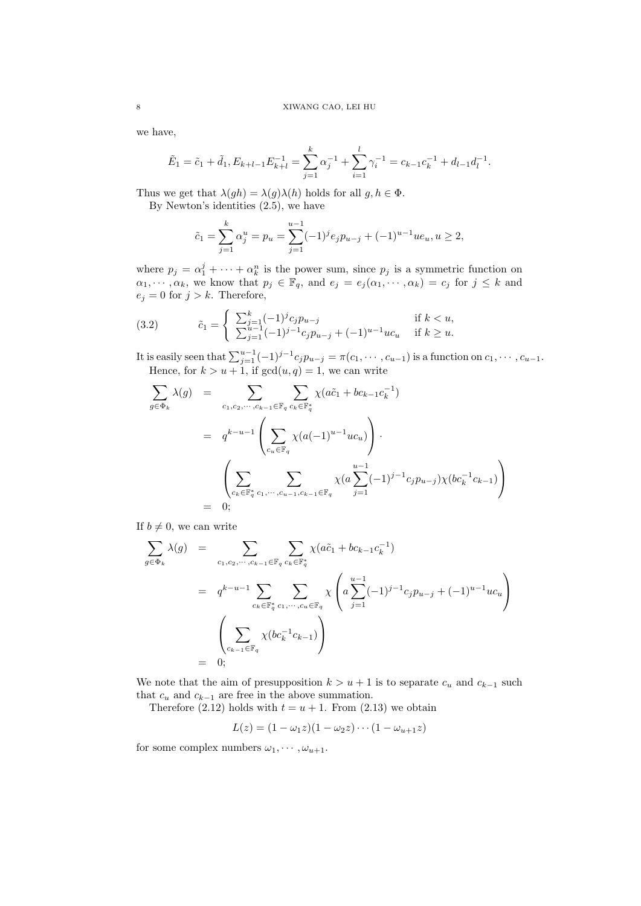we have,

$$
\tilde{E}_1 = \tilde{c}_1 + \tilde{d}_1, E_{k+l-1} E_{k+l}^{-1} = \sum_{j=1}^k \alpha_j^{-1} + \sum_{i=1}^l \gamma_i^{-1} = c_{k-1} c_k^{-1} + d_{l-1} d_l^{-1}.
$$

Thus we get that  $\lambda(gh) = \lambda(g)\lambda(h)$  holds for all  $g, h \in \Phi$ .

By Newton's identities (2.5), we have

$$
\tilde{c}_1 = \sum_{j=1}^k \alpha_j^u = p_u = \sum_{j=1}^{u-1} (-1)^j e_j p_{u-j} + (-1)^{u-1} u e_u, u \ge 2,
$$

where  $p_j = \alpha_1^j + \cdots + \alpha_k^n$  is the power sum, since  $p_j$  is a symmetric function on  $\alpha_1, \dots, \alpha_k$ , we know that  $p_j \in \mathbb{F}_q$ , and  $e_j = e_j(\alpha_1, \dots, \alpha_k) = c_j$  for  $j \leq k$  and  $e_j = 0$  for  $j > k$ . Therefore,

(3.2) 
$$
\tilde{c}_1 = \begin{cases} \sum_{j=1}^k (-1)^j c_j p_{u-j} & \text{if } k < u, \\ \sum_{j=1}^{u-1} (-1)^{j-1} c_j p_{u-j} + (-1)^{u-1} u c_u & \text{if } k \ge u. \end{cases}
$$

It is easily seen that  $\sum_{j=1}^{u-1}(-1)^{j-1}c_jp_{u-j} = \pi(c_1, \dots, c_{u-1})$  is a function on  $c_1, \dots, c_{u-1}$ . Hence, for  $k > u + 1$ , if  $gcd(u, q) = 1$ , we can write

$$
\sum_{g \in \Phi_k} \lambda(g) = \sum_{c_1, c_2, \dots, c_{k-1} \in \mathbb{F}_q} \sum_{c_k \in \mathbb{F}_q^*} \chi(a\tilde{c}_1 + bc_{k-1}c_k^{-1})
$$
\n
$$
= q^{k-u-1} \left( \sum_{c_u \in \mathbb{F}_q} \chi(a(-1)^{u-1}uc_u) \right).
$$
\n
$$
\left( \sum_{c_k \in \mathbb{F}_q^*} \sum_{c_1, \dots, c_{u-1}, c_{k-1} \in \mathbb{F}_q} \chi(a \sum_{j=1}^{u-1} (-1)^{j-1} c_j p_{u-j}) \chi(bc_k^{-1}c_{k-1}) \right)
$$
\n
$$
= 0;
$$

If  $b \neq 0$ , we can write

$$
\sum_{g \in \Phi_k} \lambda(g) = \sum_{c_1, c_2, \dots, c_{k-1} \in \mathbb{F}_q} \sum_{c_k \in \mathbb{F}_q^*} \chi(a\tilde{c}_1 + bc_{k-1}c_k^{-1})
$$
\n
$$
= q^{k-u-1} \sum_{c_k \in \mathbb{F}_q^*} \sum_{c_1, \dots, c_u \in \mathbb{F}_q} \chi\left(a \sum_{j=1}^{u-1} (-1)^{j-1} c_j p_{u-j} + (-1)^{u-1} u c_u\right)
$$
\n
$$
\left(\sum_{c_{k-1} \in \mathbb{F}_q} \chi(bc_k^{-1}c_{k-1})\right)
$$
\n
$$
= 0;
$$

We note that the aim of presupposition  $k > u + 1$  is to separate  $c_u$  and  $c_{k-1}$  such that  $c<sub>u</sub>$  and  $c<sub>k-1</sub>$  are free in the above summation.

Therefore  $(2.12)$  holds with  $t = u + 1$ . From  $(2.13)$  we obtain

$$
L(z) = (1 - \omega_1 z)(1 - \omega_2 z) \cdots (1 - \omega_{u+1} z)
$$

for some complex numbers  $\omega_1, \cdots, \omega_{n+1}$ .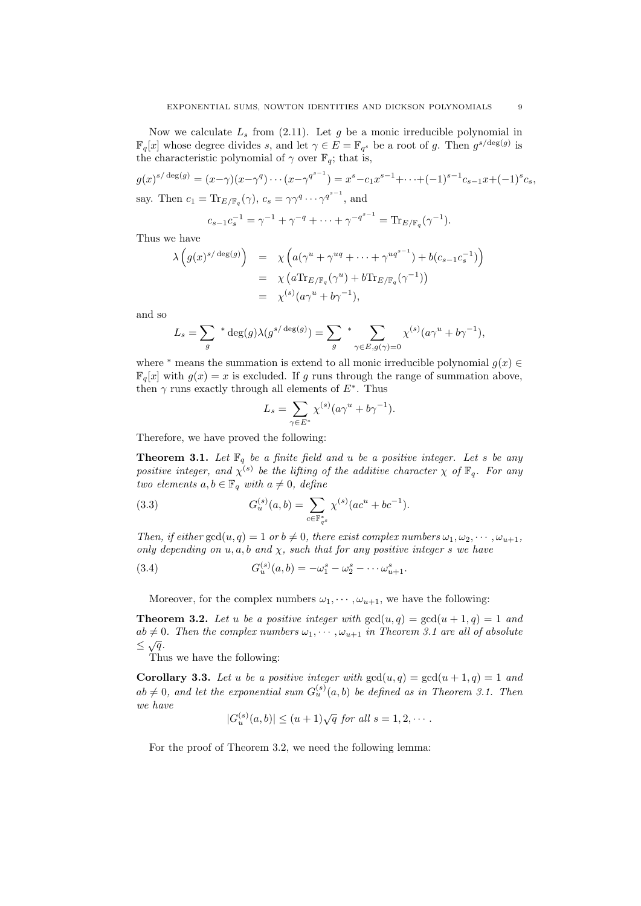Now we calculate  $L<sub>s</sub>$  from (2.11). Let  $g$  be a monic irreducible polynomial in  $\mathbb{F}_q[x]$  whose degree divides *s*, and let  $\gamma \in E = \mathbb{F}_{q^s}$  be a root of *g*. Then  $g^{s/\text{deg}(g)}$  is the characteristic polynomial of  $\gamma$  over  $\mathbb{F}_q$ ; that is,

$$
g(x)^{s/\deg(g)} = (x-\gamma)(x-\gamma^q)\cdots(x-\gamma^{q^{s-1}}) = x^s - c_1 x^{s-1} + \cdots + (-1)^{s-1} c_{s-1} x + (-1)^s c_s,
$$
  
say. Then  $c_1 = \text{Tr}_{E/\mathbb{F}_q}(\gamma)$ ,  $c_s = \gamma \gamma^q \cdots \gamma^{q^{s-1}}$ , and

$$
c_{s-1}c_s^{-1} = \gamma^{-1} + \gamma^{-q} + \dots + \gamma^{-q^{s-1}} = \text{Tr}_{E/\mathbb{F}_q}(\gamma^{-1}).
$$

Thus we have

$$
\lambda\left(g(x)^{s/\deg(g)}\right) = \chi\left(a(\gamma^u + \gamma^{uq} + \dots + \gamma^{uq^{s-1}}) + b(c_{s-1}c_s^{-1})\right)
$$
  
=  $\chi\left(a\text{Tr}_{E/\mathbb{F}_q}(\gamma^u) + b\text{Tr}_{E/\mathbb{F}_q}(\gamma^{-1})\right)$   
=  $\chi^{(s)}(a\gamma^u + b\gamma^{-1}),$ 

and so

$$
L_s = \sum_g * \deg(g) \lambda(g^{s/\deg(g)}) = \sum_g * \sum_{\gamma \in E, g(\gamma) = 0} \chi^{(s)}(a\gamma^u + b\gamma^{-1}),
$$

where <sup>\*</sup> means the summation is extend to all monic irreducible polynomial  $g(x) \in$  $\mathbb{F}_{q}[x]$  with  $q(x) = x$  is excluded. If q runs through the range of summation above, then  $\gamma$  runs exactly through all elements of  $E^*$ . Thus

$$
L_s = \sum_{\gamma \in E^*} \chi^{(s)} (a \gamma^u + b \gamma^{-1}).
$$

Therefore, we have proved the following:

**Theorem 3.1.** Let  $\mathbb{F}_q$  be a finite field and *u* be a positive integer. Let *s* be any *positive integer, and*  $\chi^{(s)}$  *be the lifting of the additive character*  $\chi$  *of*  $\mathbb{F}_q$ *. For any two elements*  $a, b \in \mathbb{F}_q$  *with*  $a \neq 0$ *, define* 

(3.3) 
$$
G_u^{(s)}(a,b) = \sum_{c \in \mathbb{F}_{q^s}^*} \chi^{(s)}(ac^u + bc^{-1}).
$$

*Then, if either*  $gcd(u, q) = 1$  *or*  $b \neq 0$ *, there exist complex numbers*  $\omega_1, \omega_2, \cdots, \omega_{u+1}$ *, only depending on u, a, b and χ, such that for any positive integer s we have*

(3.4) 
$$
G_u^{(s)}(a,b) = -\omega_1^s - \omega_2^s - \cdots - \omega_{u+1}^s.
$$

Moreover, for the complex numbers  $\omega_1, \dots, \omega_{u+1}$ , we have the following:

**Theorem 3.2.** Let *u* be a positive integer with  $gcd(u, q) = gcd(u + 1, q) = 1$  and  $ab \neq 0$ . Then the complex numbers  $\omega_1, \dots, \omega_{n+1}$  in Theorem 3.1 are all of absolute *≤ <sup>√</sup>q.*

Thus we have the following:

**Corollary 3.3.** Let *u* be a positive integer with  $gcd(u, q) = gcd(u + 1, q) = 1$  and  $ab \neq 0$ , and let the exponential sum  $G_u^{(s)}(a, b)$  be defined as in Theorem 3.1. Then *we have*

$$
|G_u^{(s)}(a,b)| \le (u+1)\sqrt{q} \text{ for all } s = 1, 2, \cdots.
$$

For the proof of Theorem 3.2, we need the following lemma: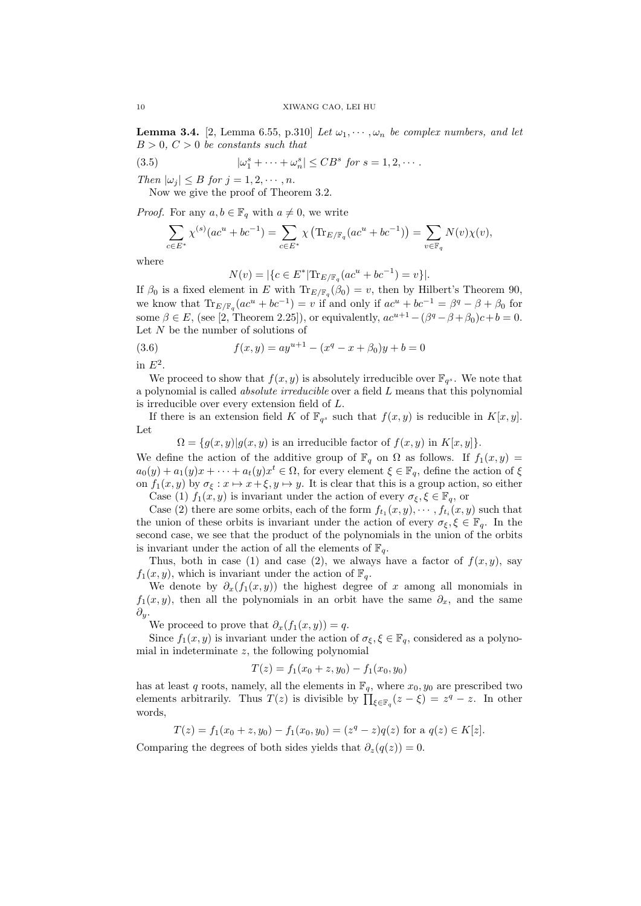**Lemma 3.4.** [2, Lemma 6.55, p.310] *Let*  $\omega_1, \dots, \omega_n$  *be complex numbers, and let*  $B > 0, C > 0$  *be constants such that* 

(3.5) 
$$
|\omega_1^s + \cdots + \omega_n^s| \leq CB^s \text{ for } s = 1, 2, \cdots.
$$

*Then*  $|\omega_j| \leq B$  *for*  $j = 1, 2, \dots, n$ .

Now we give the proof of Theorem 3.2.

*Proof.* For any  $a, b \in \mathbb{F}_q$  with  $a \neq 0$ , we write

$$
\sum_{c \in E^*} \chi^{(s)}(ac^u + bc^{-1}) = \sum_{c \in E^*} \chi\left(\text{Tr}_{E/\mathbb{F}_q}(ac^u + bc^{-1})\right) = \sum_{v \in \mathbb{F}_q} N(v)\chi(v),
$$

where

$$
N(v) = |\{c \in E^* | \text{Tr}_{E/\mathbb{F}_q}(ac^u + bc^{-1}) = v\}|.
$$

If  $\beta_0$  is a fixed element in *E* with  $\text{Tr}_{E/\mathbb{F}_q}(\beta_0) = v$ , then by Hilbert's Theorem 90, we know that  $\text{Tr}_{E/\mathbb{F}_q}(ac^u + bc^{-1}) = v$  if and only if  $ac^u + bc^{-1} = \beta^q - \beta + \beta_0$  for some  $\beta \in E$ , (see [2, Theorem 2.25]), or equivalently,  $ac^{u+1} - (\beta^q - \beta + \beta_0)c + b = 0$ . Let *N* be the number of solutions of

(3.6) 
$$
f(x,y) = ay^{u+1} - (x^q - x + \beta_0)y + b = 0
$$

in  $E^2$ .

We proceed to show that  $f(x, y)$  is absolutely irreducible over  $\mathbb{F}_{q^s}$ . We note that a polynomial is called *absolute irreducible* over a field *L* means that this polynomial is irreducible over every extension field of *L*.

If there is an extension field *K* of  $\mathbb{F}_{q^s}$  such that  $f(x, y)$  is reducible in  $K[x, y]$ . Let

$$
\Omega = \{g(x, y) | g(x, y) \text{ is an irreducible factor of } f(x, y) \text{ in } K[x, y] \}.
$$

We define the action of the additive group of  $\mathbb{F}_q$  on  $\Omega$  as follows. If  $f_1(x, y) =$  $a_0(y) + a_1(y)x + \cdots + a_t(y)x^t \in \Omega$ , for every element  $\xi \in \mathbb{F}_q$ , define the action of  $\xi$ on  $f_1(x, y)$  by  $\sigma_{\xi}: x \mapsto x + \xi, y \mapsto y$ . It is clear that this is a group action, so either Case (1)  $f_1(x, y)$  is invariant under the action of every  $\sigma_{\xi}, \xi \in \mathbb{F}_q$ , or

Case (2) there are some orbits, each of the form  $f_{t_1}(x, y), \cdots, f_{t_i}(x, y)$  such that the union of these orbits is invariant under the action of every  $\sigma_{\xi}, \xi \in \mathbb{F}_q$ . In the second case, we see that the product of the polynomials in the union of the orbits is invariant under the action of all the elements of  $\mathbb{F}_q$ .

Thus, both in case (1) and case (2), we always have a factor of  $f(x, y)$ , say  $f_1(x, y)$ , which is invariant under the action of  $\mathbb{F}_q$ .

We denote by  $\partial_x(f_1(x, y))$  the highest degree of *x* among all monomials in  $f_1(x, y)$ , then all the polynomials in an orbit have the same  $\partial_x$ , and the same *∂y*.

We proceed to prove that  $\partial_x(f_1(x,y)) = q$ .

Since  $f_1(x, y)$  is invariant under the action of  $\sigma_{\xi}, \xi \in \mathbb{F}_q$ , considered as a polynomial in indeterminate *z*, the following polynomial

$$
T(z) = f_1(x_0 + z, y_0) - f_1(x_0, y_0)
$$

has at least *q* roots, namely, all the elements in  $\mathbb{F}_q$ , where  $x_0, y_0$  are prescribed two elements arbitrarily. Thus  $T(z)$  is divisible by  $\prod_{\xi \in \mathbb{F}_q} (z - \xi) = z^q - z$ . In other words,

 $T(z) = f_1(x_0 + z, y_0) - f_1(x_0, y_0) = (z^q - z)q(z)$  for a  $q(z) \in K[z]$ .

Comparing the degrees of both sides yields that  $\partial_z(q(z)) = 0$ .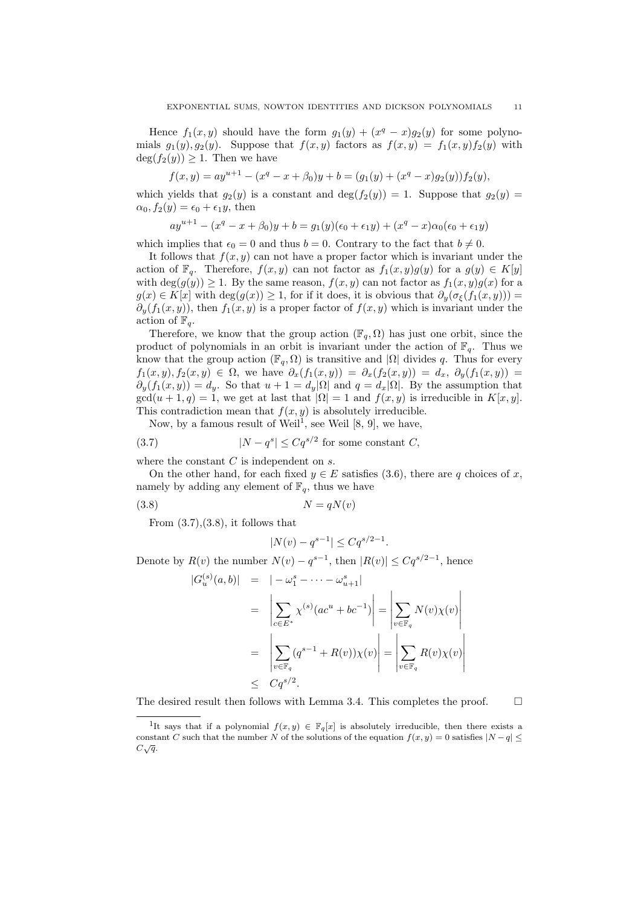Hence  $f_1(x, y)$  should have the form  $g_1(y) + (x^q - x)g_2(y)$  for some polynomials  $g_1(y), g_2(y)$ . Suppose that  $f(x, y)$  factors as  $f(x, y) = f_1(x, y)f_2(y)$  with  $deg(f_2(y)) \geq 1$ . Then we have

$$
f(x,y) = ay^{u+1} - (x^q - x + \beta_0)y + b = (g_1(y) + (x^q - x)g_2(y))f_2(y),
$$

which yields that  $g_2(y)$  is a constant and  $\deg(f_2(y)) = 1$ . Suppose that  $g_2(y) = 1$  $\alpha_0, f_2(y) = \epsilon_0 + \epsilon_1 y$ , then

$$
ay^{u+1} - (x^q - x + \beta_0)y + b = g_1(y)(\epsilon_0 + \epsilon_1y) + (x^q - x)\alpha_0(\epsilon_0 + \epsilon_1y)
$$

which implies that  $\epsilon_0 = 0$  and thus  $b = 0$ . Contrary to the fact that  $b \neq 0$ .

It follows that  $f(x, y)$  can not have a proper factor which is invariant under the action of  $\mathbb{F}_q$ . Therefore,  $f(x, y)$  can not factor as  $f_1(x, y)g(y)$  for a  $g(y) \in K[y]$ with deg( $g(y)$ )  $\geq$  1. By the same reason,  $f(x, y)$  can not factor as  $f_1(x, y)g(x)$  for a *g*(*x*)  $\in$  *K*[*x*] with deg(*g*(*x*)) ≥ 1, for if it does, it is obvious that  $\partial_y(\sigma_{\xi}(f_1(x,y)))$  =  $\partial_y(f_1(x,y))$ , then  $f_1(x,y)$  is a proper factor of  $f(x,y)$  which is invariant under the action of  $\mathbb{F}_q$ .

Therefore, we know that the group action  $(\mathbb{F}_q, \Omega)$  has just one orbit, since the product of polynomials in an orbit is invariant under the action of  $\mathbb{F}_q$ . Thus we know that the group action ( $\mathbb{F}_q$ ,  $\Omega$ ) is transitive and  $|\Omega|$  divides q. Thus for every  $f_1(x,y), f_2(x,y) \in \Omega$ , we have  $\partial_x(f_1(x,y)) = \partial_x(f_2(x,y)) = d_x, \ \partial_y(f_1(x,y)) = d_y$  $\partial_y(f_1(x,y)) = d_y$ . So that  $u + 1 = d_y|\Omega|$  and  $q = d_x|\Omega|$ . By the assumption that  $gcd(u + 1, q) = 1$ , we get at last that  $|\Omega| = 1$  and  $f(x, y)$  is irreducible in  $K[x, y]$ . This contradiction mean that  $f(x, y)$  is absolutely irreducible.

Now, by a famous result of Weil<sup>1</sup>, see Weil  $[8, 9]$ , we have,

(3.7) 
$$
|N - q^s| \le Cq^{s/2} \text{ for some constant } C,
$$

where the constant *C* is independent on *s*.

On the other hand, for each fixed  $y \in E$  satisfies (3.6), there are q choices of x, namely by adding any element of  $\mathbb{F}_q$ , thus we have

$$
(3.8)\t\t N = qN(v)
$$

From  $(3.7),(3.8)$ , it follows that

$$
|N(v) - q^{s-1}| \le Cq^{s/2 - 1}.
$$

Denote by  $R(v)$  the number  $N(v) - q^{s-1}$ , then  $|R(v)| \leq Cq^{s/2-1}$ , hence

$$
|G_u^{(s)}(a,b)| = |-\omega_1^s - \cdots - \omega_{u+1}^s|
$$
  

$$
= \left| \sum_{c \in E^*} \chi^{(s)}(ac^u + bc^{-1}) \right| = \left| \sum_{v \in \mathbb{F}_q} N(v)\chi(v) \right|
$$
  

$$
= \left| \sum_{v \in \mathbb{F}_q} (q^{s-1} + R(v))\chi(v) \right| = \left| \sum_{v \in \mathbb{F}_q} R(v)\chi(v) \right|
$$
  

$$
\leq Cq^{s/2}.
$$

The desired result then follows with Lemma 3.4. This completes the proof.  $\Box$ 

<sup>&</sup>lt;sup>1</sup>It says that if a polynomial  $f(x, y) \in \mathbb{F}_q[x]$  is absolutely irreducible, then there exists a constant *C* such that the number *N* of the solutions of the equation  $f(x, y) = 0$  satisfies  $|N - q| \leq$ *C √q*.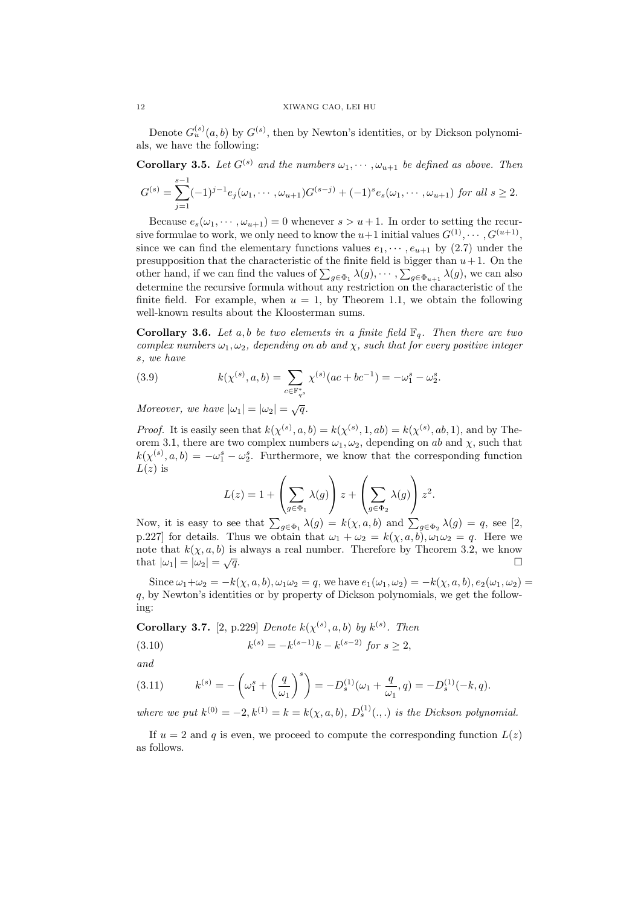Denote  $G_u^{(s)}(a, b)$  by  $G^{(s)}$ , then by Newton's identities, or by Dickson polynomials, we have the following:

**Corollary 3.5.** *Let*  $G^{(s)}$  *and the numbers*  $\omega_1, \dots, \omega_{u+1}$  *be defined as above. Then* 

$$
G^{(s)} = \sum_{j=1}^{s-1} (-1)^{j-1} e_j(\omega_1, \cdots, \omega_{u+1}) G^{(s-j)} + (-1)^s e_s(\omega_1, \cdots, \omega_{u+1})
$$
 for all  $s \ge 2$ .

Because  $e_s(\omega_1, \dots, \omega_{u+1}) = 0$  whenever  $s > u+1$ . In order to setting the recursive formulae to work, we only need to know the  $u+1$  initial values  $G^{(1)}, \cdots, G^{(u+1)}$ , since we can find the elementary functions values  $e_1, \dots, e_{u+1}$  by (2.7) under the presupposition that the characteristic of the finite field is bigger than  $u + 1$ . On the other hand, if we can find the values of  $\sum_{g \in \Phi_1} \lambda(g), \cdots, \sum_{g \in \Phi_{u+1}} \lambda(g)$ , we can also determine the recursive formula without any restriction on the characteristic of the finite field. For example, when  $u = 1$ , by Theorem 1.1, we obtain the following well-known results about the Kloosterman sums.

**Corollary 3.6.** *Let*  $a, b$  *be two elements in a finite field*  $\mathbb{F}_q$ *. Then there are two complex numbers*  $\omega_1, \omega_2$ *, depending on ab and*  $\chi$ *, such that for every positive integer s, we have*

(3.9) 
$$
k(\chi^{(s)}, a, b) = \sum_{c \in \mathbb{F}_{q^s}^*} \chi^{(s)}(ac + bc^{-1}) = -\omega_1^s - \omega_2^s.
$$

*Moreover, we have*  $|\omega_1| = |\omega_2| = \sqrt{q}$ .

*Proof.* It is easily seen that  $k(\chi^{(s)}, a, b) = k(\chi^{(s)}, 1, ab) = k(\chi^{(s)}, ab, 1)$ , and by Theorem 3.1, there are two complex numbers  $\omega_1, \omega_2$ , depending on *ab* and *χ*, such that  $k(\chi^{(s)}, a, b) = -\omega_1^s - \omega_2^s$ . Furthermore, we know that the corresponding function  $L(z)$  is

$$
L(z) = 1 + \left(\sum_{g \in \Phi_1} \lambda(g)\right) z + \left(\sum_{g \in \Phi_2} \lambda(g)\right) z^2.
$$

Now, it is easy to see that  $\sum_{g \in \Phi_1} \lambda(g) = k(\chi, a, b)$  and  $\sum_{g \in \Phi_2} \lambda(g) = q$ , see [2, p.227] for details. Thus we obtain that  $\omega_1 + \omega_2 = k(\chi, a, b), \omega_1 \omega_2 = q$ . Here we note that  $k(\chi, a, b)$  is always a real number. Therefore by Theorem 3.2, we know that  $|\omega_1| = |\omega_2| = \sqrt{q}$ . that  $|\omega_1| = |\omega_2| = \sqrt{q}$ .

Since  $\omega_1 + \omega_2 = -k(\chi, a, b), \omega_1 \omega_2 = q$ , we have  $e_1(\omega_1, \omega_2) = -k(\chi, a, b), e_2(\omega_1, \omega_2) =$ *q*, by Newton's identities or by property of Dickson polynomials, we get the following:

**Corollary 3.7.** [2, p.229] *Denote*  $k(\chi^{(s)}, a, b)$  *by*  $k^{(s)}$ *. Then* 

(3.10) 
$$
k^{(s)} = -k^{(s-1)}k - k^{(s-2)} \text{ for } s \ge 2,
$$

*and*

(3.11) 
$$
k^{(s)} = -\left(\omega_1^s + \left(\frac{q}{\omega_1}\right)^s\right) = -D_s^{(1)}(\omega_1 + \frac{q}{\omega_1}, q) = -D_s^{(1)}(-k, q).
$$

*where we put*  $k^{(0)} = -2, k^{(1)} = k = k(\chi, a, b), D_s^{(1)}(.,.)$  *is the Dickson polynomial.* 

If  $u = 2$  and q is even, we proceed to compute the corresponding function  $L(z)$ as follows.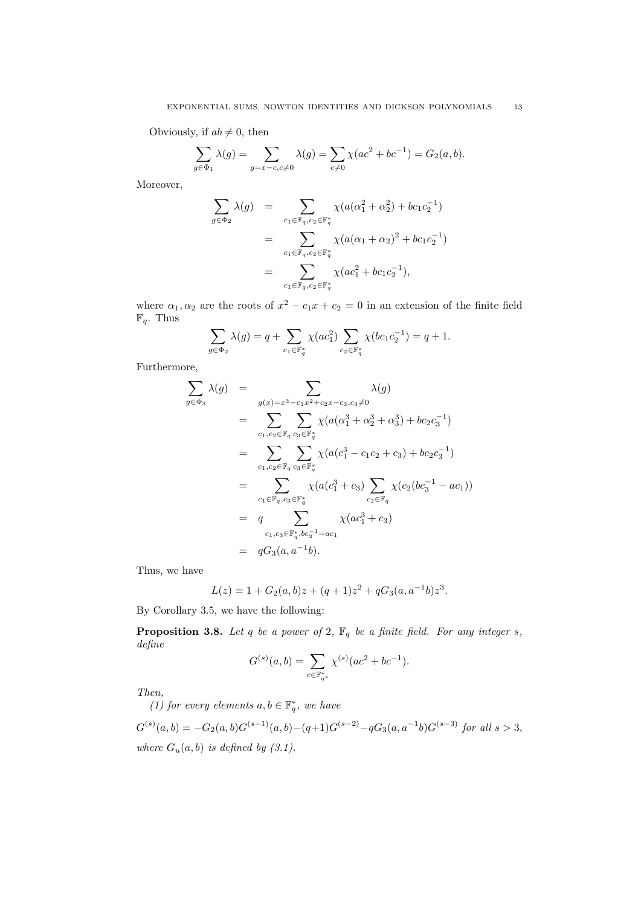Obviously, if  $ab \neq 0$ , then

$$
\sum_{g \in \Phi_1} \lambda(g) = \sum_{g = x - c, c \neq 0} \lambda(g) = \sum_{c \neq 0} \chi(ac^2 + bc^{-1}) = G_2(a, b).
$$

Moreover,

$$
\sum_{g \in \Phi_2} \lambda(g) = \sum_{c_1 \in \mathbb{F}_q, c_2 \in \mathbb{F}_q^*} \chi(a(\alpha_1^2 + \alpha_2^2) + bc_1 c_2^{-1})
$$
  
\n
$$
= \sum_{c_1 \in \mathbb{F}_q, c_2 \in \mathbb{F}_q^*} \chi(a(\alpha_1 + \alpha_2)^2 + bc_1 c_2^{-1})
$$
  
\n
$$
= \sum_{c_1 \in \mathbb{F}_q, c_2 \in \mathbb{F}_q^*} \chi(ac_1^2 + bc_1 c_2^{-1}),
$$

where  $\alpha_1, \alpha_2$  are the roots of  $x^2 - c_1x + c_2 = 0$  in an extension of the finite field  $\mathbb{F}_q$ . Thus

$$
\sum_{g \in \Phi_2} \lambda(g) = q + \sum_{c_1 \in \mathbb{F}_q^*} \chi(ac_1^2) \sum_{c_2 \in \mathbb{F}_q^*} \chi(bc_1c_2^{-1}) = q + 1.
$$

Furthermore,

$$
\sum_{g \in \Phi_3} \lambda(g) = \sum_{g(x) = x^3 - c_1 x^2 + c_2 x - c_3, c_3 \neq 0} \lambda(g)
$$
\n
$$
= \sum_{c_1, c_2 \in \mathbb{F}_q} \sum_{c_3 \in \mathbb{F}_q^*} \chi(a(\alpha_1^3 + \alpha_2^3 + \alpha_3^3) + bc_2 c_3^{-1})
$$
\n
$$
= \sum_{c_1, c_2 \in \mathbb{F}_q} \sum_{c_3 \in \mathbb{F}_q^*} \chi(a(c_1^3 - c_1 c_2 + c_3) + bc_2 c_3^{-1})
$$
\n
$$
= \sum_{c_1 \in \mathbb{F}_q, c_3 \in \mathbb{F}_q^*} \chi(a(c_1^3 + c_3) \sum_{c_2 \in \mathbb{F}_q} \chi(c_2(bc_3^{-1} - ac_1))
$$
\n
$$
= q \sum_{c_1, c_3 \in \mathbb{F}_q^*, bc_3^{-1} = ac_1} \chi(ac_1^3 + c_3)
$$
\n
$$
= qG_3(a, a^{-1}b).
$$

Thus, we have

$$
L(z) = 1 + G_2(a, b)z + (q+1)z^2 + qG_3(a, a^{-1}b)z^3.
$$

By Corollary 3.5, we have the following:

**Proposition 3.8.** *Let q be a power of* 2,  $\mathbb{F}_q$  *be a finite field. For any integer s, define*

$$
G^{(s)}(a,b) = \sum_{c \in \mathbb{F}_{q^s}^*} \chi^{(s)}(ac^2 + bc^{-1}).
$$

*Then,*

*(1) for every elements*  $a, b \in \mathbb{F}_q^*$ *, we have* 

 $G^{(s)}(a,b) = -G_2(a,b)G^{(s-1)}(a,b) - (q+1)G^{(s-2)} - qG_3(a,a^{-1}b)G^{(s-3)}$  for all  $s > 3$ , *where*  $G_u(a, b)$  *is defined by (3.1).*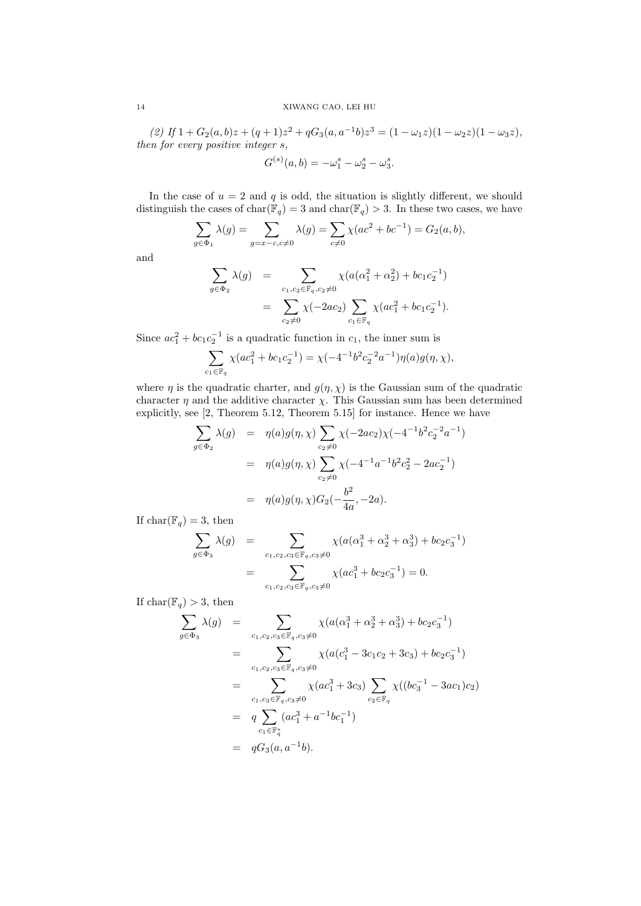(2) If  $1 + G_2(a, b)z + (q + 1)z^2 + qG_3(a, a^{-1}b)z^3 = (1 - \omega_1 z)(1 - \omega_2 z)(1 - \omega_3 z),$ *then for every positive integer s,*

$$
G^{(s)}(a,b) = -\omega_1^s - \omega_2^s - \omega_3^s.
$$

In the case of  $u = 2$  and  $q$  is odd, the situation is slightly different, we should distinguish the cases of  $char(\mathbb{F}_q) = 3$  and  $char(\mathbb{F}_q) > 3$ . In these two cases, we have

$$
\sum_{g \in \Phi_1} \lambda(g) = \sum_{g = x - c, c \neq 0} \lambda(g) = \sum_{c \neq 0} \chi(ac^2 + bc^{-1}) = G_2(a, b),
$$

and

$$
\sum_{g \in \Phi_2} \lambda(g) = \sum_{\substack{c_1, c_2 \in \mathbb{F}_q, c_2 \neq 0}} \chi(a(\alpha_1^2 + \alpha_2^2) + bc_1 c_2^{-1})
$$

$$
= \sum_{c_2 \neq 0} \chi(-2ac_2) \sum_{c_1 \in \mathbb{F}_q} \chi(ac_1^2 + bc_1 c_2^{-1}).
$$

Since  $ac_1^2 + bc_1c_2^{-1}$  is a quadratic function in  $c_1$ , the inner sum is

$$
\sum_{c_1 \in \mathbb{F}_q} \chi(ac_1^2 + bc_1c_2^{-1}) = \chi(-4^{-1}b^2c_2^{-2}a^{-1})\eta(a)g(\eta, \chi),
$$

where  $\eta$  is the quadratic charter, and  $g(\eta, \chi)$  is the Gaussian sum of the quadratic character  $\eta$  and the additive character  $\chi$ . This Gaussian sum has been determined explicitly, see [2, Theorem 5.12, Theorem 5.15] for instance. Hence we have

$$
\sum_{g \in \Phi_2} \lambda(g) = \eta(a)g(\eta, \chi) \sum_{c_2 \neq 0} \chi(-2ac_2)\chi(-4^{-1}b^2c_2^{-2}a^{-1})
$$
  
= 
$$
\eta(a)g(\eta, \chi) \sum_{c_2 \neq 0} \chi(-4^{-1}a^{-1}b^2c_2^2 - 2ac_2^{-1})
$$
  
= 
$$
\eta(a)g(\eta, \chi)G_2(-\frac{b^2}{4a}, -2a).
$$

If  $char(\mathbb{F}_q) = 3$ , then

$$
\sum_{g \in \Phi_3} \lambda(g) = \sum_{c_1, c_2, c_3 \in \mathbb{F}_q, c_3 \neq 0} \chi(a(\alpha_1^3 + \alpha_2^3 + \alpha_3^3) + bc_2 c_3^{-1})
$$

$$
= \sum_{c_1, c_2, c_3 \in \mathbb{F}_q, c_3 \neq 0} \chi(ac_1^3 + bc_2 c_3^{-1}) = 0.
$$

If  $char(\mathbb{F}_q) > 3$ , then

$$
\sum_{g \in \Phi_3} \lambda(g) = \sum_{c_1, c_2, c_3 \in \mathbb{F}_q, c_3 \neq 0} \chi(a(\alpha_1^3 + \alpha_2^3 + \alpha_3^3) + bc_2 c_3^{-1})
$$
\n
$$
= \sum_{c_1, c_2, c_3 \in \mathbb{F}_q, c_3 \neq 0} \chi(a(c_1^3 - 3c_1 c_2 + 3c_3) + bc_2 c_3^{-1})
$$
\n
$$
= \sum_{c_1, c_3 \in \mathbb{F}_q, c_3 \neq 0} \chi(ac_1^3 + 3c_3) \sum_{c_2 \in \mathbb{F}_q} \chi((bc_3^{-1} - 3ac_1)c_2)
$$
\n
$$
= q \sum_{c_1 \in \mathbb{F}_q^*} (ac_1^3 + a^{-1}bc_1^{-1})
$$
\n
$$
= qG_3(a, a^{-1}b).
$$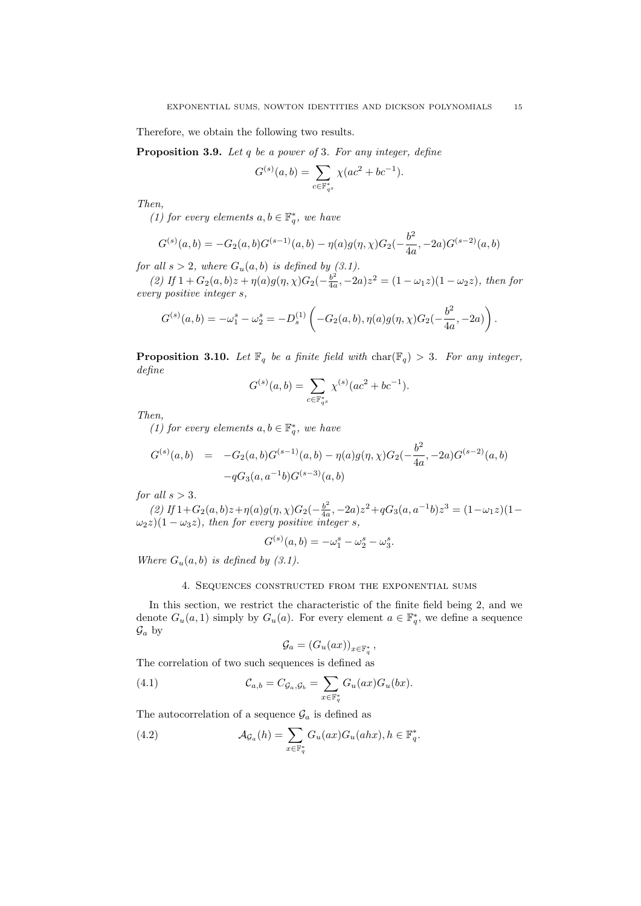Therefore, we obtain the following two results.

**Proposition 3.9.** *Let q be a power of* 3*. For any integer, define*

$$
G^{(s)}(a,b) = \sum_{c \in \mathbb{F}_{q^s}^*} \chi(ac^2 + bc^{-1}).
$$

*Then,*

*(1) for every elements*  $a, b \in \mathbb{F}_q^*$ *, we have* 

$$
G^{(s)}(a,b) = -G_2(a,b)G^{(s-1)}(a,b) - \eta(a)g(\eta,\chi)G_2(-\frac{b^2}{4a},-2a)G^{(s-2)}(a,b)
$$

*for all*  $s > 2$ *, where*  $G_u(a, b)$  *is defined by (3.1).* 

*(2)* If 1 + *G*<sub>2</sub>(*a, b*)*z* + *η*(*a*)*g*(*η, χ*)*G*<sub>2</sub>( $-\frac{b^2}{4a}$  $\frac{b^2}{4a}$ ,  $-2a)z^2 = (1 - \omega_1 z)(1 - \omega_2 z)$ , then for *every positive integer s,*

$$
G^{(s)}(a,b) = -\omega_1^s - \omega_2^s = -D_s^{(1)} \left( -G_2(a,b), \eta(a)g(\eta, \chi)G_2(-\frac{b^2}{4a}, -2a) \right).
$$

**Proposition 3.10.** Let  $\mathbb{F}_q$  be a finite field with  $char(\mathbb{F}_q) > 3$ . For any integer, *define*

$$
G^{(s)}(a,b) = \sum_{c \in \mathbb{F}_{q^s}^*} \chi^{(s)}(ac^2 + bc^{-1}).
$$

*Then,*

*(1) for every elements*  $a, b \in \mathbb{F}_q^*$ , we have

$$
G^{(s)}(a,b) = -G_2(a,b)G^{(s-1)}(a,b) - \eta(a)g(\eta,\chi)G_2(-\frac{b^2}{4a},-2a)G^{(s-2)}(a,b) -qG_3(a,a^{-1}b)G^{(s-3)}(a,b)
$$

*for all s >* 3*.*

*(2)* If 1 + *G*<sub>2</sub>(*a*, *b*)*z* + *η*(*a*)*g*(*η*, *χ*)*G*<sub>2</sub>(− $\frac{b^2}{4a}$  $\frac{b^2}{4a}$ ,  $-2a)z^2 + qG_3(a, a^{-1}b)z^3 = (1 - \omega_1 z)(1 - \omega_2 z)$  $\omega_2 z$ )(1 −  $\omega_3 z$ )*, then for every positive integer s,* 

$$
G^{(s)}(a,b) = -\omega_1^s - \omega_2^s - \omega_3^s.
$$

*Where*  $G_u(a, b)$  *is defined by (3.1).* 

## 4. Sequences constructed from the exponential sums

In this section, we restrict the characteristic of the finite field being 2, and we denote  $G_u(a, 1)$  simply by  $G_u(a)$ . For every element  $a \in \mathbb{F}_q^*$ , we define a sequence  $\mathcal{G}_a$  by

$$
\mathcal{G}_a = (G_u(ax))_{x \in \mathbb{F}_q^*},
$$

The correlation of two such sequences is defined as

(4.1) 
$$
\mathcal{C}_{a,b} = C_{\mathcal{G}_a,\mathcal{G}_b} = \sum_{x \in \mathbb{F}_q^*} G_u(ax) G_u(bx).
$$

The autocorrelation of a sequence  $\mathcal{G}_a$  is defined as

(4.2) 
$$
\mathcal{A}_{\mathcal{G}_a}(h) = \sum_{x \in \mathbb{F}_q^*} G_u(ax) G_u(ahx), h \in \mathbb{F}_q^*.
$$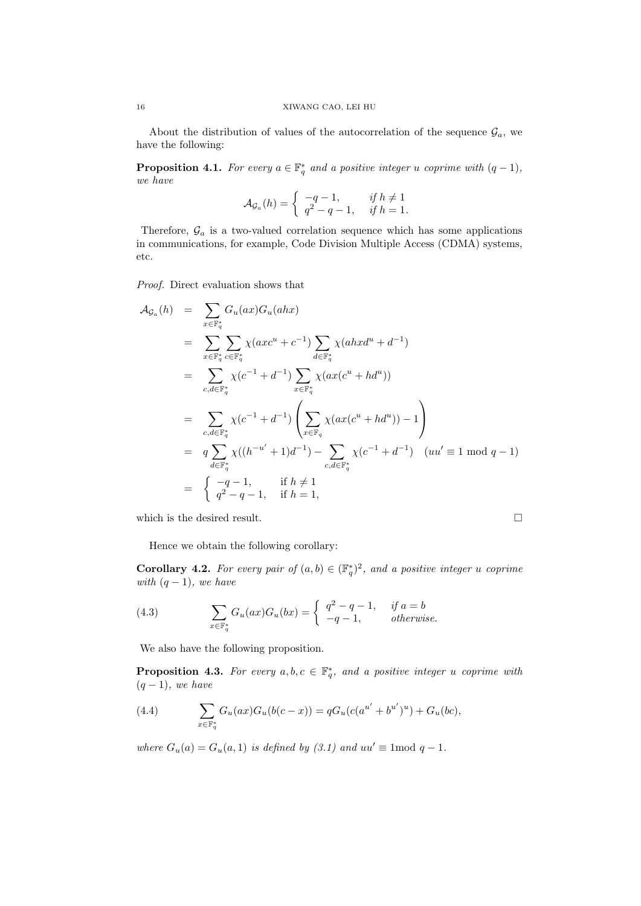About the distribution of values of the autocorrelation of the sequence  $\mathcal{G}_a$ , we have the following:

**Proposition 4.1.** For every  $a \in \mathbb{F}_q^*$  and a positive integer *u* coprime with  $(q-1)$ *, we have*

$$
\mathcal{A}_{\mathcal{G}_a}(h) = \begin{cases} -q-1, & \text{if } h \neq 1 \\ q^2 - q - 1, & \text{if } h = 1. \end{cases}
$$

Therefore,  $\mathcal{G}_a$  is a two-valued correlation sequence which has some applications in communications, for example, Code Division Multiple Access (CDMA) systems, etc.

*Proof.* Direct evaluation shows that

$$
A_{\mathcal{G}_a}(h) = \sum_{x \in \mathbb{F}_q^*} G_u(ax) G_u(ahx)
$$
  
\n
$$
= \sum_{x \in \mathbb{F}_q^*} \sum_{c \in \mathbb{F}_q^*} \chi(axc^u + c^{-1}) \sum_{d \in \mathbb{F}_q^*} \chi(ahxd^u + d^{-1})
$$
  
\n
$$
= \sum_{c,d \in \mathbb{F}_q^*} \chi(c^{-1} + d^{-1}) \sum_{x \in \mathbb{F}_q^*} \chi(ax(c^u + hd^u))
$$
  
\n
$$
= \sum_{c,d \in \mathbb{F}_q^*} \chi(c^{-1} + d^{-1}) \left( \sum_{x \in \mathbb{F}_q} \chi(ax(c^u + hd^u)) - 1 \right)
$$
  
\n
$$
= q \sum_{d \in \mathbb{F}_q^*} \chi((h^{-u'} + 1)d^{-1}) - \sum_{c,d \in \mathbb{F}_q^*} \chi(c^{-1} + d^{-1}) \quad (uu' \equiv 1 \mod q - 1)
$$
  
\n
$$
= \begin{cases} -q - 1, & \text{if } h \neq 1 \\ q^2 - q - 1, & \text{if } h = 1, \end{cases}
$$

which is the desired result.  $\hfill \square$ 

Hence we obtain the following corollary:

**Corollary 4.2.** For every pair of  $(a, b) \in (\mathbb{F}_q^*)^2$ , and a positive integer *u* coprime *with* (*q −* 1)*, we have*

(4.3) 
$$
\sum_{x \in \mathbb{F}_q^*} G_u(ax)G_u(bx) = \begin{cases} q^2 - q - 1, & \text{if } a = b \\ -q - 1, & \text{otherwise.} \end{cases}
$$

We also have the following proposition.

**Proposition 4.3.** For every  $a, b, c \in \mathbb{F}_q^*$ , and a positive integer *u* coprime with (*q −* 1)*, we have*

(4.4) 
$$
\sum_{x \in \mathbb{F}_q^*} G_u(ax)G_u(b(c-x)) = qG_u(c(a^{u'} + b^{u'})^u) + G_u(bc),
$$

*where*  $G_u(a) = G_u(a, 1)$  *is defined by* (3.1) and  $uu' \equiv 1 \text{ mod } q - 1$ *.*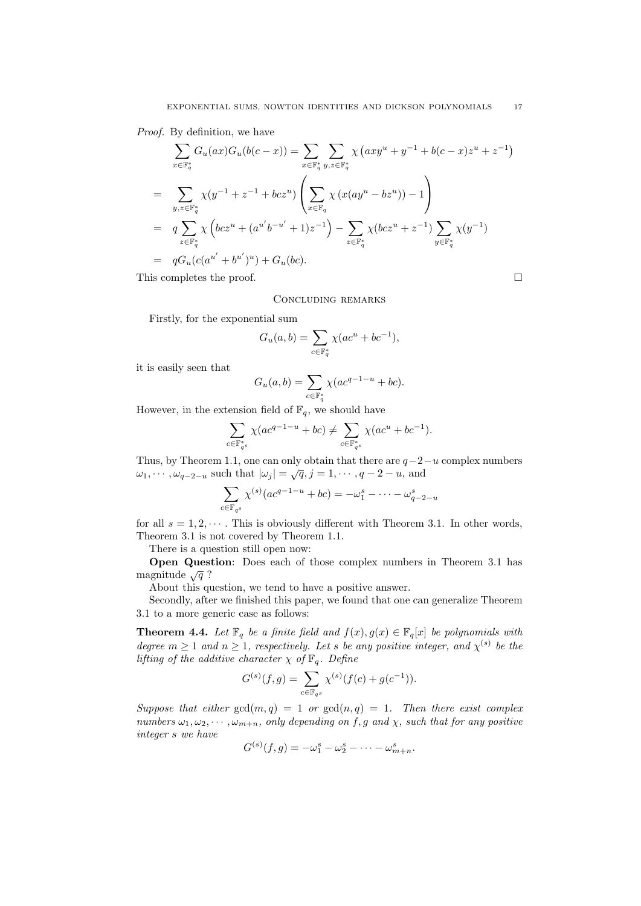*Proof.* By definition, we have

$$
\sum_{x \in \mathbb{F}_q^*} G_u(ax) G_u(b(c - x)) = \sum_{x \in \mathbb{F}_q^*} \sum_{y, z \in \mathbb{F}_q^*} \chi (axy^u + y^{-1} + b(c - x)z^u + z^{-1})
$$
\n
$$
= \sum_{y, z \in \mathbb{F}_q^*} \chi (y^{-1} + z^{-1} + bcz^u) \left( \sum_{x \in \mathbb{F}_q} \chi (x(ay^u - bz^u)) - 1 \right)
$$
\n
$$
= q \sum_{z \in \mathbb{F}_q^*} \chi \left( bcz^u + (a^{u'}b^{-u'} + 1)z^{-1} \right) - \sum_{z \in \mathbb{F}_q^*} \chi (bcz^u + z^{-1}) \sum_{y \in \mathbb{F}_q^*} \chi (y^{-1})
$$
\n
$$
= qG_u(c(a^{u'} + b^{u'})^u) + G_u(bc).
$$
\nThis completes the proof.

Concluding remarks

Firstly, for the exponential sum

$$
G_u(a, b) = \sum_{c \in \mathbb{F}_q^*} \chi(ac^u + bc^{-1}),
$$

it is easily seen that

$$
G_u(a,b) = \sum_{c \in \mathbb{F}_q^*} \chi(ac^{q-1-u} + bc).
$$

However, in the extension field of  $\mathbb{F}_q$ , we should have

$$
\sum_{c\in \mathbb F_{q^s}^*} \chi(ac^{q-1-u}+bc)\neq \sum_{c\in \mathbb F_{q^s}^*} \chi(ac^u+bc^{-1}).
$$

Thus, by Theorem 1.1, one can only obtain that there are *q−*2*−u* complex numbers *ω*1*, · · · , ω<sup>q</sup>−*2*−<sup>u</sup>* such that *|ω<sup>j</sup> |* = *<sup>√</sup>q, j* = 1*, · · · , q <sup>−</sup>* <sup>2</sup> *<sup>−</sup> <sup>u</sup>*, and

$$
\sum_{c \in \mathbb{F}_{q^s}} \chi^{(s)}(ac^{q-1-u} + bc) = -\omega_1^s - \dots - \omega_{q-2-u}^s
$$

for all  $s = 1, 2, \cdots$ . This is obviously different with Theorem 3.1. In other words, Theorem 3.1 is not covered by Theorem 1.1.

There is a question still open now:

**Open Question**: Does each of those complex numbers in Theorem 3.1 has magnitude  $\sqrt{q}$ ?

About this question, we tend to have a positive answer.

Secondly, after we finished this paper, we found that one can generalize Theorem 3.1 to a more generic case as follows:

**Theorem 4.4.** *Let*  $\mathbb{F}_q$  *be a finite field and*  $f(x), g(x) \in \mathbb{F}_q[x]$  *be polynomials with degree*  $m \geq 1$  *and*  $n \geq 1$ *, respectively. Let s be any positive integer, and*  $\chi^{(s)}$  *be the lifting of the additive character*  $\chi$  *of*  $\mathbb{F}_q$ *. Define* 

$$
G^{(s)}(f,g) = \sum_{c \in \mathbb{F}_{q^s}} \chi^{(s)}(f(c) + g(c^{-1})).
$$

*Suppose that either*  $gcd(m, q) = 1$  *or*  $gcd(n, q) = 1$ *. Then there exist complex numbers*  $\omega_1, \omega_2, \cdots, \omega_{m+n}$ *, only depending on*  $f, g$  *and*  $\chi$ *, such that for any positive integer s we have*

$$
G^{(s)}(f,g) = -\omega_1^s - \omega_2^s - \cdots - \omega_{m+n}^s.
$$